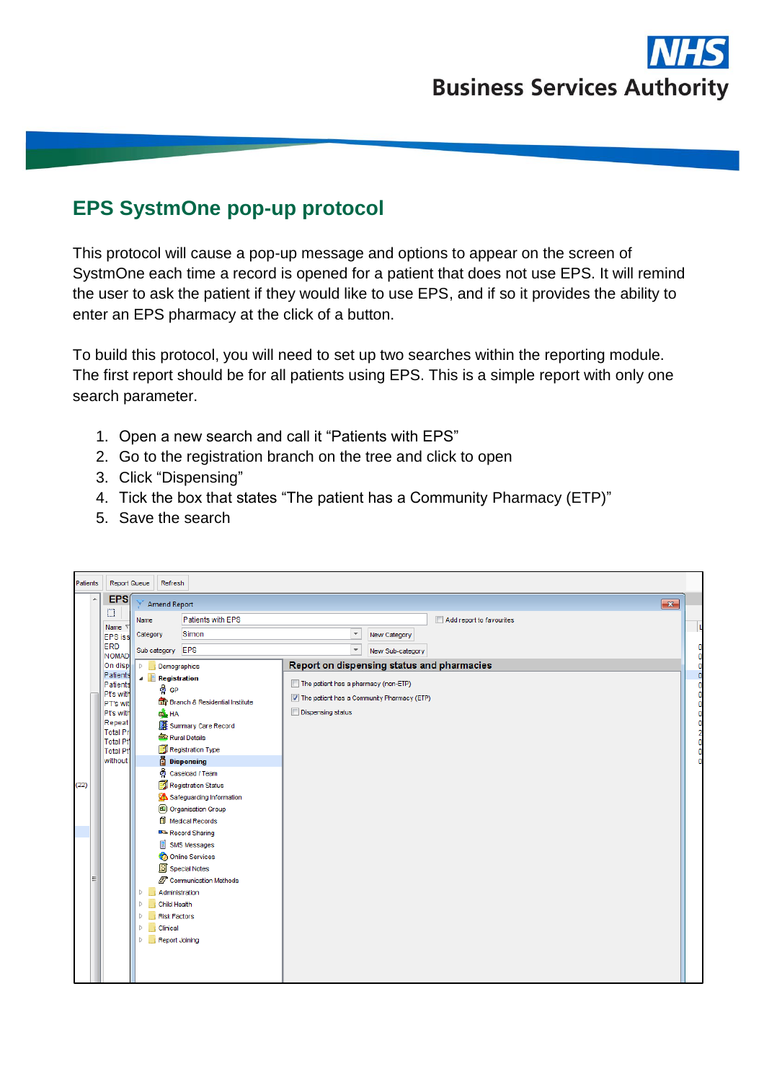

## **EPS SystmOne pop-up protocol**

This protocol will cause a pop-up message and options to appear on the screen of SystmOne each time a record is opened for a patient that does not use EPS. It will remind the user to ask the patient if they would like to use EPS, and if so it provides the ability to enter an EPS pharmacy at the click of a button.

To build this protocol, you will need to set up two searches within the reporting module. The first report should be for all patients using EPS. This is a simple report with only one search parameter.

- 1. Open a new search and call it "Patients with EPS"
- 2. Go to the registration branch on the tree and click to open
- 3. Click "Dispensing"
- 4. Tick the box that states "The patient has a Community Pharmacy (ETP)"
- 5. Save the search

| Patients | Report Queue                                                                                                                      | Refresh                                                                                                                                                                             |                                                                                                                                                                                                                                                                                                                                                                          |                                                                                                                |                  |                          |
|----------|-----------------------------------------------------------------------------------------------------------------------------------|-------------------------------------------------------------------------------------------------------------------------------------------------------------------------------------|--------------------------------------------------------------------------------------------------------------------------------------------------------------------------------------------------------------------------------------------------------------------------------------------------------------------------------------------------------------------------|----------------------------------------------------------------------------------------------------------------|------------------|--------------------------|
| A        | <b>EPS</b><br>n                                                                                                                   | <b>Amend Report</b>                                                                                                                                                                 |                                                                                                                                                                                                                                                                                                                                                                          |                                                                                                                |                  | $\overline{\mathbf{x}}$  |
|          | Name \                                                                                                                            | Name                                                                                                                                                                                | Patients with EPS                                                                                                                                                                                                                                                                                                                                                        |                                                                                                                |                  | Add report to favourites |
|          | <b>EPS</b> iss                                                                                                                    | Category                                                                                                                                                                            | Simon                                                                                                                                                                                                                                                                                                                                                                    |                                                                                                                | New Category     |                          |
|          | ERD                                                                                                                               | Sub category EPS                                                                                                                                                                    |                                                                                                                                                                                                                                                                                                                                                                          | $\overline{\mathbf{v}}$                                                                                        | New Sub-category |                          |
|          | <b>NOMAD</b><br>On disp                                                                                                           | $\triangleright$<br>Demographics                                                                                                                                                    |                                                                                                                                                                                                                                                                                                                                                                          | Report on dispensing status and pharmacies                                                                     |                  |                          |
| (22)     | Patients<br>Patients<br>Pt's with<br>PT's wit<br>Pt's with<br>Repeat<br><b>Total Pr</b><br>Total Pt<br><b>Total Pt</b><br>without | <b>A Registration</b><br>ကို GP<br>ED HA<br>Administration<br>Þ<br>Child Health<br>Þ<br><b>Risk Factors</b><br>Þ<br>Clinical<br>$\triangleright$<br>Report Joining<br>Þ<br>$\sim 0$ | <b>The Branch &amp; Residential Institute</b><br>Summary Care Record<br>Rural Details<br>Registration Type<br><b>Dispensing</b><br><b>o</b> Caseload / Team<br>Registration Status<br>Safeguarding Information<br><b>4</b> Organisation Group<br>Medical Records<br>Record Sharing<br><b>SMS Messages</b><br>Online Services<br>S Special Notes<br>Communication Methods | The patient has a pharmacy (non-ETP)<br>The patient has a Community Pharmacy (ETP)<br><b>Dispensing status</b> |                  |                          |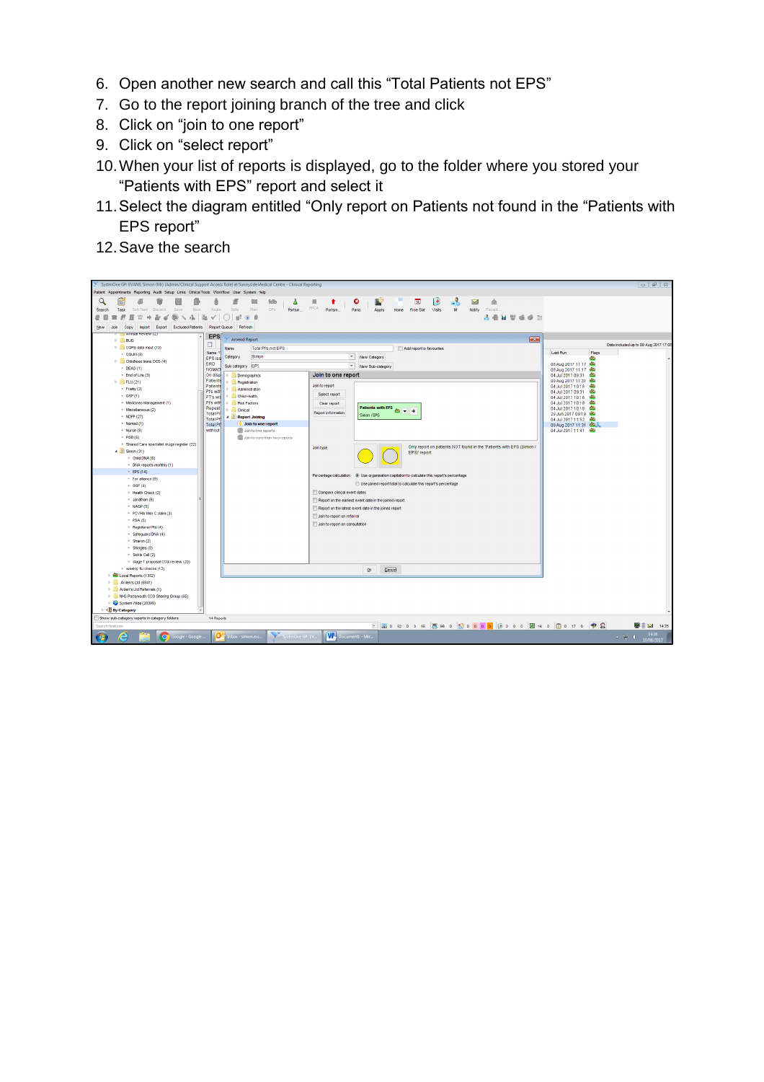- 6. Open another new search and call this "Total Patients not EPS"
- 7. Go to the report joining branch of the tree and click
- 8. Click on "join to one report"
- 9. Click on "select report"
- 10.When your list of reports is displayed, go to the folder where you stored your "Patients with EPS" report and select it
- 11.Select the diagram entitled "Only report on Patients not found in the "Patients with EPS report"
- 12.Save the search

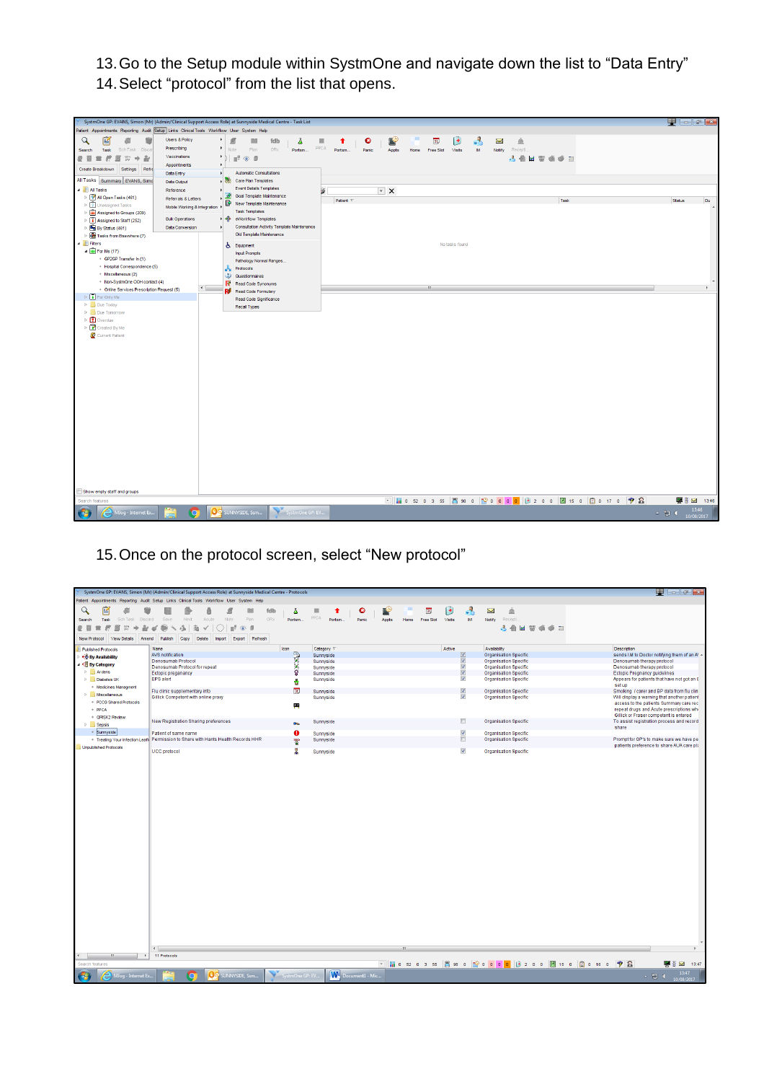13.Go to the Setup module within SystmOne and navigate down the list to "Data Entry" 14.Select "protocol" from the list that opens.



## 15.Once on the protocol screen, select "New protocol"

|                                       | SystmOne GP: EVANS, Simon (Mr) (Admin/Clinical Support Access Role) at Sunnyside Medical Centre - Protocols |                        |                          |                                   |                         |                                                                | $\blacksquare$ $\blacksquare$ $\blacksquare$                                       |
|---------------------------------------|-------------------------------------------------------------------------------------------------------------|------------------------|--------------------------|-----------------------------------|-------------------------|----------------------------------------------------------------|------------------------------------------------------------------------------------|
|                                       | Patient Appointments Reporting Audit Setup Links Clinical Tools Workflow User System Help                   |                        |                          |                                   |                         |                                                                |                                                                                    |
| Q<br>腎                                |                                                                                                             | д<br>fdb               | ۰<br>п                   | 31,                               | F                       | $\sum$<br>Ă                                                    |                                                                                    |
| Task<br>Sch Task<br>Discard<br>Search | Plan<br>Next                                                                                                | ORx<br>Portsm.         | PPCA<br>Portsm.<br>Panic | Free Slot<br>Appts<br><b>Home</b> | Visits<br>M             | Recepti<br>Notify                                              |                                                                                    |
|                                       |                                                                                                             |                        |                          |                                   |                         | 天面<br><b>MUSS</b><br>6.71                                      |                                                                                    |
| View Details<br>New Protocol<br>Amend | Refresh<br>Publish<br>Copy<br>Delete<br>Export<br>Import                                                    |                        |                          |                                   |                         |                                                                |                                                                                    |
| <b>Published Protocols</b>            | Name                                                                                                        | Icon                   | Category V               |                                   | Active                  | Availability                                                   | Description                                                                        |
| ← By Availability                     | AVS notification                                                                                            | ●次次●                   | Sunnyside                |                                   | $\boxed{\textbf{v}}$    | Organisation Specific                                          | sends I.M to Doctor notifying them of an A' A                                      |
| By Category                           | Denosumab Protocol                                                                                          |                        | Sunnyside                |                                   | $\frac{1}{2}$           | <b>Organisation Specific</b>                                   | Denosumab therapy protocol                                                         |
| Ardens                                | Denosumab Protocol for repeat<br>Ectopic preganancy                                                         |                        | Sunnyside                |                                   | $\overline{\mathbf{v}}$ | <b>Organisation Specific</b><br><b>Organisation Specific</b>   | Denosumab therapy protocol<br><b>Ectopic Pregnancy guidelines</b>                  |
| Diabetes UK                           | <b>EPS</b> alert                                                                                            |                        | Sunnyside<br>Sunnyside   |                                   | $\overline{\mathbf{v}}$ | <b>Organisation Specific</b>                                   | Appears for patients that have not got an E                                        |
| * Medicines Managment                 |                                                                                                             | ē                      |                          |                                   |                         |                                                                | setup                                                                              |
| Miscellaneous                         | Flu clinic supplementary info                                                                               | 31                     | Sunnyside                |                                   | $\Delta$                | Organisation Specific                                          | Smoking / carer and BP data from flu clin                                          |
|                                       | Gillick Competent with online proxy                                                                         |                        | Sunnyside                |                                   | $\overline{\mathsf{v}}$ | <b>Organisation Specific</b>                                   | Will display a warning that another patient                                        |
| * PCCG Shared Protocols               |                                                                                                             | 画                      |                          |                                   |                         |                                                                | access to the patients Summary care rec                                            |
| $+$ PPCA                              |                                                                                                             |                        |                          |                                   |                         |                                                                | repeat drugs and Acute prescriptions whe<br>Gillick or Fraser competent is entered |
| · QRISK2 Review                       | New Registration Sharing preferences                                                                        |                        | Sunnyside                |                                   | n                       | <b>Organisation Specific</b>                                   | To assist registration process and record                                          |
| <b>D</b> Sepsis                       |                                                                                                             | $\mathbf{D}\mathbf{Q}$ |                          |                                   |                         |                                                                | share                                                                              |
| + Sunnyside                           | Patient of same name                                                                                        | $\bullet$              | Sunnyside                |                                   | $\overline{\mathsf{v}}$ | <b>Organisation Specific</b>                                   |                                                                                    |
|                                       | . Treating Your Infection Leafl Permission to Share with Hants Health Records HHR                           | 뽷                      | Sunnyside                |                                   | $\Box$                  | <b>Organisation Specific</b>                                   | Prompt for GP's to make sure we have pe                                            |
| <b>Unpublished Protocols</b>          | <b>UCC</b> protocol                                                                                         | 農                      | Sunnyside                |                                   | $\overline{\mathbf{v}}$ | <b>Organisation Specific</b>                                   | patients preference to share AUA care pla                                          |
|                                       | $\leftarrow$                                                                                                |                        |                          |                                   |                         |                                                                |                                                                                    |
| Search features                       | 11 Protocols                                                                                                |                        |                          |                                   |                         | Mios2o3ss Bisso <mark>Roooo</mark> (8 200 Bils 0 200 ks 0 ?) & | ■ 3:324 13:47                                                                      |
| MJog - Internet Ex                    | OC SUNNYSIDE, Ssm                                                                                           | SystmOne GP: EV        | <b>W</b> Document1 - Mic |                                   |                         |                                                                | 13:47<br>$\sim$ 27 (                                                               |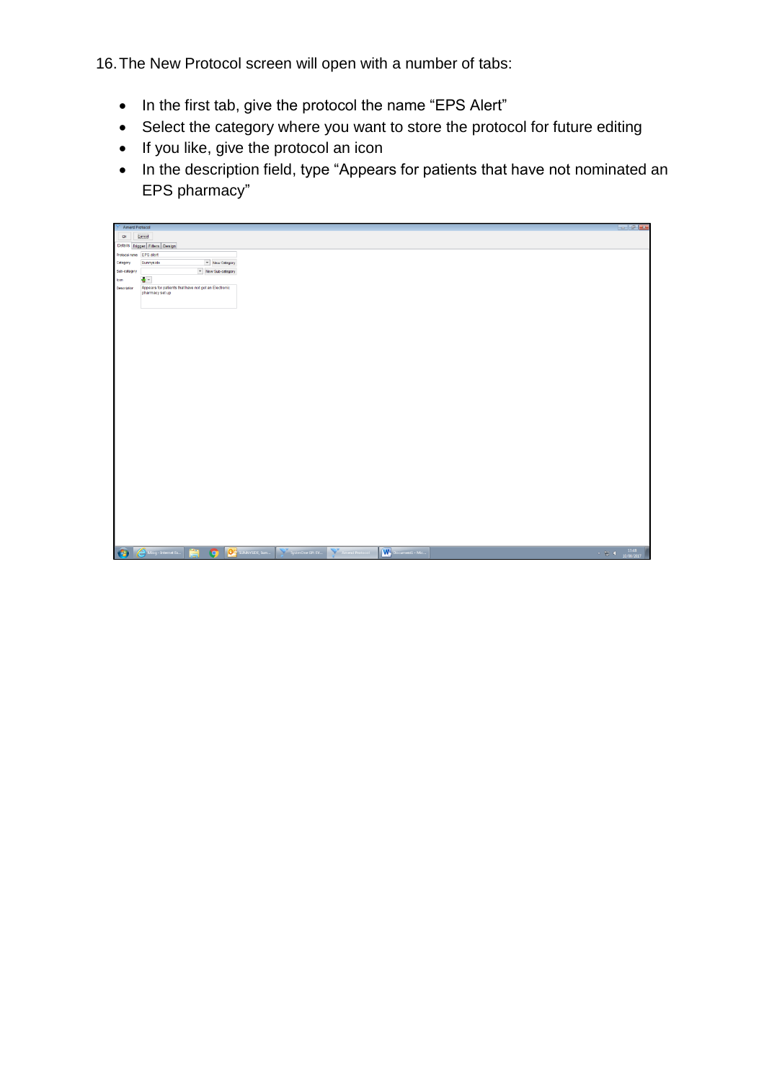16.The New Protocol screen will open with a number of tabs:

- In the first tab, give the protocol the name "EPS Alert"
- Select the category where you want to store the protocol for future editing
- If you like, give the protocol an icon
- In the description field, type "Appears for patients that have not nominated an EPS pharmacy"

| Amend Protocol |                                                                                        |
|----------------|----------------------------------------------------------------------------------------|
| $\mathbf{Q}k$  | Cancel                                                                                 |
|                | Details Trigger Filters Design                                                         |
|                | Protocol name EPS alert                                                                |
| Category       | - New Category<br>Sunnyside                                                            |
| Sub-category   | v New Sub-category                                                                     |
| Icon           | $\sim$ $\sigma$                                                                        |
| Description    | Appears for patients that have not got an Electronic<br>pharmacy set up                |
|                |                                                                                        |
|                |                                                                                        |
|                |                                                                                        |
|                |                                                                                        |
|                |                                                                                        |
|                |                                                                                        |
|                |                                                                                        |
|                |                                                                                        |
|                |                                                                                        |
|                |                                                                                        |
|                |                                                                                        |
|                |                                                                                        |
|                |                                                                                        |
|                |                                                                                        |
|                |                                                                                        |
|                |                                                                                        |
|                |                                                                                        |
|                |                                                                                        |
|                |                                                                                        |
|                |                                                                                        |
|                |                                                                                        |
|                |                                                                                        |
|                |                                                                                        |
|                |                                                                                        |
|                |                                                                                        |
|                |                                                                                        |
|                |                                                                                        |
|                |                                                                                        |
|                | <b>C</b> Mog - Internet Ex.<br>SystemOne GP: EV_Memend Protocol V Document1 - Mic<br>會 |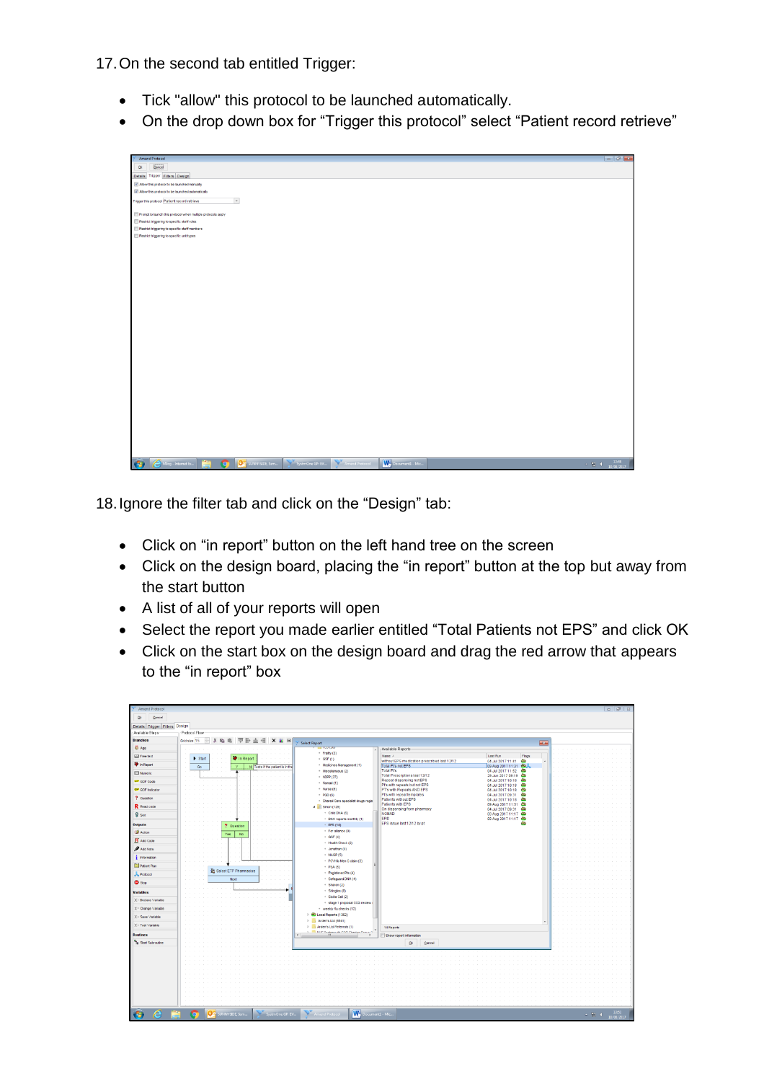17.On the second tab entitled Trigger:

- Tick "allow" this protocol to be launched automatically.
- On the drop down box for "Trigger this protocol" select "Patient record retrieve"



18.Ignore the filter tab and click on the "Design" tab:

- Click on "in report" button on the left hand tree on the screen
- Click on the design board, placing the "in report" button at the top but away from the start button
- A list of all of your reports will open
- Select the report you made earlier entitled "Total Patients not EPS" and click OK
- Click on the start box on the design board and drag the red arrow that appears to the "in report" box

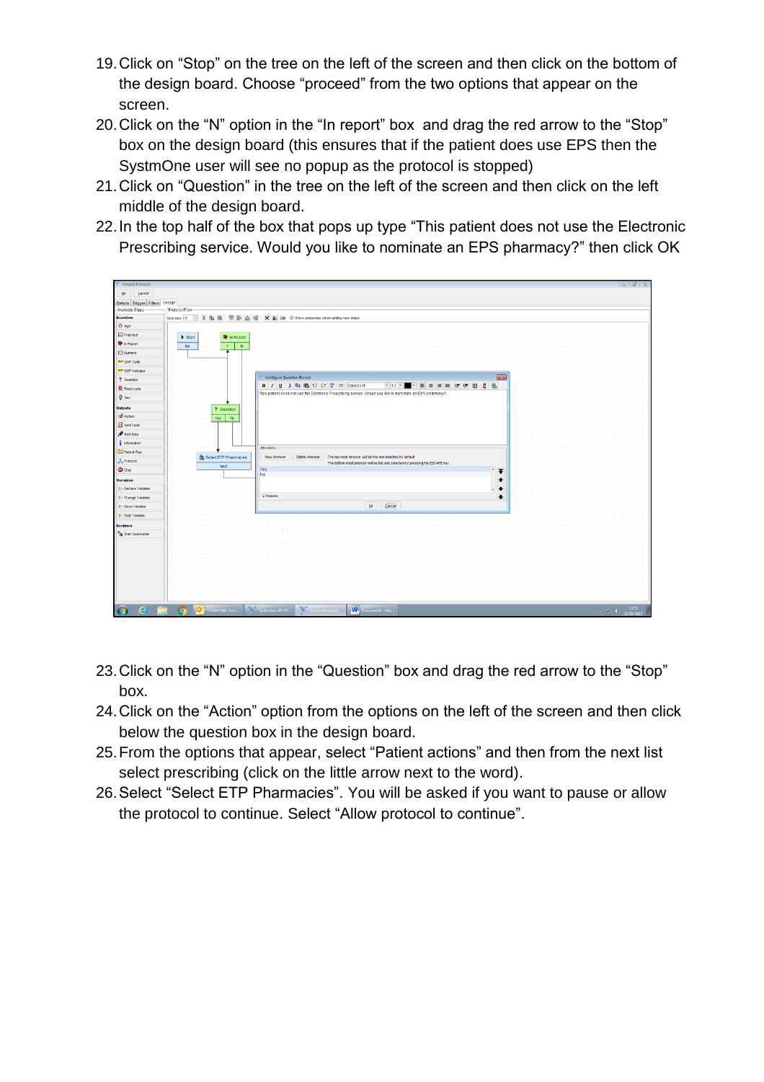- 19.Click on "Stop" on the tree on the left of the screen and then click on the bottom of the design board. Choose "proceed" from the two options that appear on the screen.
- 20.Click on the "N" option in the "In report" box and drag the red arrow to the "Stop" box on the design board (this ensures that if the patient does use EPS then the SystmOne user will see no popup as the protocol is stopped)
- 21.Click on "Question" in the tree on the left of the screen and then click on the left middle of the design board.
- 22.In the top half of the box that pops up type "This patient does not use the Electronic Prescribing service. Would you like to nominate an EPS pharmacy?" then click OK

| <b>Amend Protocol</b>          |                                     |                                                                                                           | $-1913$                    |
|--------------------------------|-------------------------------------|-----------------------------------------------------------------------------------------------------------|----------------------------|
| Cancel<br>Qk                   |                                     |                                                                                                           |                            |
| Details Trigger Filters Design |                                     |                                                                                                           |                            |
| Available Steps                | Protocol Flow-                      |                                                                                                           |                            |
| <b>Branches</b>                | Grid size 15<br>临自<br>₽             | 原卧血相 X 国 V Show properties when adding new steps                                                          |                            |
| <b>D</b> Age                   |                                     |                                                                                                           |                            |
| <b>Ed Free text</b>            | In Report<br>$\triangleright$ Start |                                                                                                           |                            |
| The In Report                  | Go<br>$\mathbf{v}$<br>N             |                                                                                                           |                            |
| <b>E3</b> Numeric              |                                     |                                                                                                           |                            |
| <b>SIP</b> QOF Code            |                                     |                                                                                                           |                            |
| <b>GOF</b> Indicator           |                                     |                                                                                                           |                            |
| ? Question                     |                                     | Configure Question Branch<br>$\mathbf{E}$                                                                 |                            |
| R Read code                    |                                     |                                                                                                           |                            |
| <b>Q</b> Sex                   |                                     | This patient does not use the Electronic Prescribing service. Would you like to nominate an EPS pharmacy? |                            |
|                                |                                     |                                                                                                           |                            |
| Outputs<br><b>B</b> Action     | ? Question                          |                                                                                                           |                            |
|                                | Yes  <br>No                         |                                                                                                           |                            |
| R Add Code                     |                                     |                                                                                                           |                            |
| Add Note                       |                                     |                                                                                                           |                            |
| $\frac{1}{2}$ Information      |                                     | Answers                                                                                                   |                            |
| Patient Plan                   | Select ETP Pharmacies               | New Answer<br>Delete Answer<br>The top-most answer will be the one selected by default                    |                            |
| Protocol                       | Next                                | The bottom-most answer will be the one selected by pressing the ESCAPE key                                |                            |
| Stop                           |                                     | Yes<br>$\overline{f}$<br>No                                                                               |                            |
| Variables                      |                                     | $\bullet$                                                                                                 |                            |
| X- Declare Variable            |                                     |                                                                                                           |                            |
| X- Change Variable             |                                     | 2 Anawers<br>$\ddot{\phantom{1}}$                                                                         |                            |
| X= Save Variable               |                                     | Cancel<br>$\underline{\mathsf{Q}}$ :                                                                      |                            |
| $X$ - Test Variable            |                                     |                                                                                                           |                            |
| <b>Routines</b>                |                                     |                                                                                                           |                            |
| <b>Ta</b> Start Subroutine     |                                     |                                                                                                           |                            |
|                                |                                     |                                                                                                           |                            |
|                                |                                     |                                                                                                           |                            |
|                                |                                     |                                                                                                           |                            |
|                                |                                     |                                                                                                           |                            |
|                                |                                     |                                                                                                           |                            |
|                                |                                     |                                                                                                           |                            |
|                                |                                     |                                                                                                           |                            |
|                                |                                     |                                                                                                           |                            |
| e                              | Ē,<br><b>OC</b> SUNNYSIDE, Ssm<br>O | SystemOne GP: EV Amend Protocol<br>Document1 - Mic                                                        | 13:51                      |
| $\bullet$                      |                                     |                                                                                                           | $\sim$ RF II<br>10/08/2017 |

- 23.Click on the "N" option in the "Question" box and drag the red arrow to the "Stop" box.
- 24.Click on the "Action" option from the options on the left of the screen and then click below the question box in the design board.
- 25.From the options that appear, select "Patient actions" and then from the next list select prescribing (click on the little arrow next to the word).
- 26.Select "Select ETP Pharmacies". You will be asked if you want to pause or allow the protocol to continue. Select "Allow protocol to continue".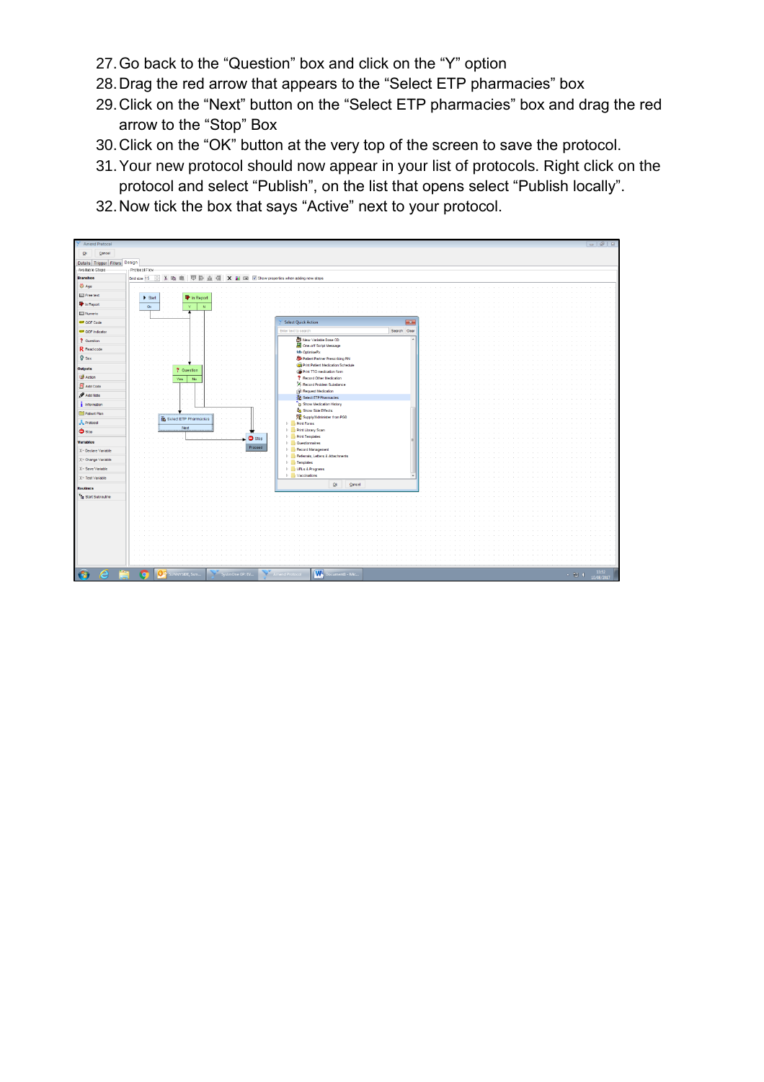- 27.Go back to the "Question" box and click on the "Y" option
- 28.Drag the red arrow that appears to the "Select ETP pharmacies" box
- 29.Click on the "Next" button on the "Select ETP pharmacies" box and drag the red arrow to the "Stop" Box
- 30.Click on the "OK" button at the very top of the screen to save the protocol.
- 31.Your new protocol should now appear in your list of protocols. Right click on the protocol and select "Publish", on the list that opens select "Publish locally".
- 32.Now tick the box that says "Active" next to your protocol.